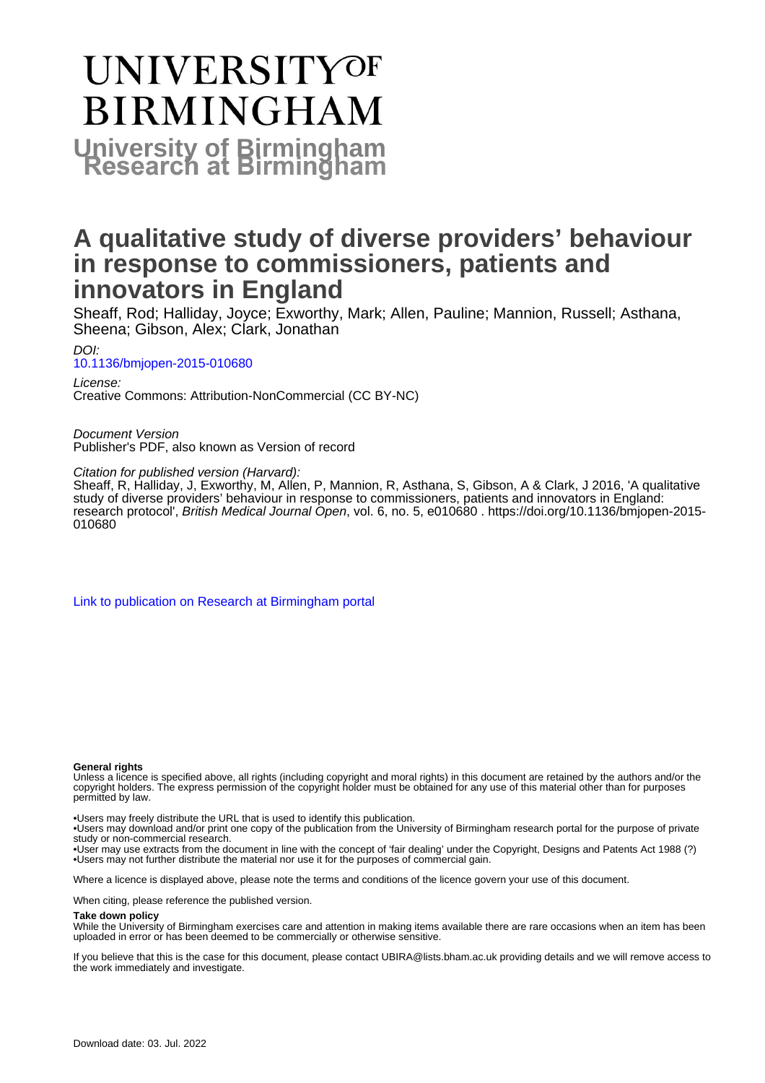# UNIVERSITYOF **BIRMINGHAM University of Birmingham**

## **A qualitative study of diverse providers' behaviour in response to commissioners, patients and innovators in England**

Sheaff, Rod; Halliday, Joyce; Exworthy, Mark; Allen, Pauline; Mannion, Russell; Asthana, Sheena; Gibson, Alex; Clark, Jonathan

DOI: [10.1136/bmjopen-2015-010680](https://doi.org/10.1136/bmjopen-2015-010680)

License: Creative Commons: Attribution-NonCommercial (CC BY-NC)

Document Version Publisher's PDF, also known as Version of record

Citation for published version (Harvard):

Sheaff, R, Halliday, J, Exworthy, M, Allen, P, Mannion, R, Asthana, S, Gibson, A & Clark, J 2016, 'A qualitative study of diverse providers' behaviour in response to commissioners, patients and innovators in England: research protocol', British Medical Journal Open, vol. 6, no. 5, e010680 . [https://doi.org/10.1136/bmjopen-2015-](https://doi.org/10.1136/bmjopen-2015-010680) [010680](https://doi.org/10.1136/bmjopen-2015-010680)

[Link to publication on Research at Birmingham portal](https://birmingham.elsevierpure.com/en/publications/092953b0-0236-4ee9-a55a-5c433398ee4b)

#### **General rights**

Unless a licence is specified above, all rights (including copyright and moral rights) in this document are retained by the authors and/or the copyright holders. The express permission of the copyright holder must be obtained for any use of this material other than for purposes permitted by law.

• Users may freely distribute the URL that is used to identify this publication.

• Users may download and/or print one copy of the publication from the University of Birmingham research portal for the purpose of private study or non-commercial research.

• User may use extracts from the document in line with the concept of 'fair dealing' under the Copyright, Designs and Patents Act 1988 (?) • Users may not further distribute the material nor use it for the purposes of commercial gain.

Where a licence is displayed above, please note the terms and conditions of the licence govern your use of this document.

When citing, please reference the published version.

#### **Take down policy**

While the University of Birmingham exercises care and attention in making items available there are rare occasions when an item has been uploaded in error or has been deemed to be commercially or otherwise sensitive.

If you believe that this is the case for this document, please contact UBIRA@lists.bham.ac.uk providing details and we will remove access to the work immediately and investigate.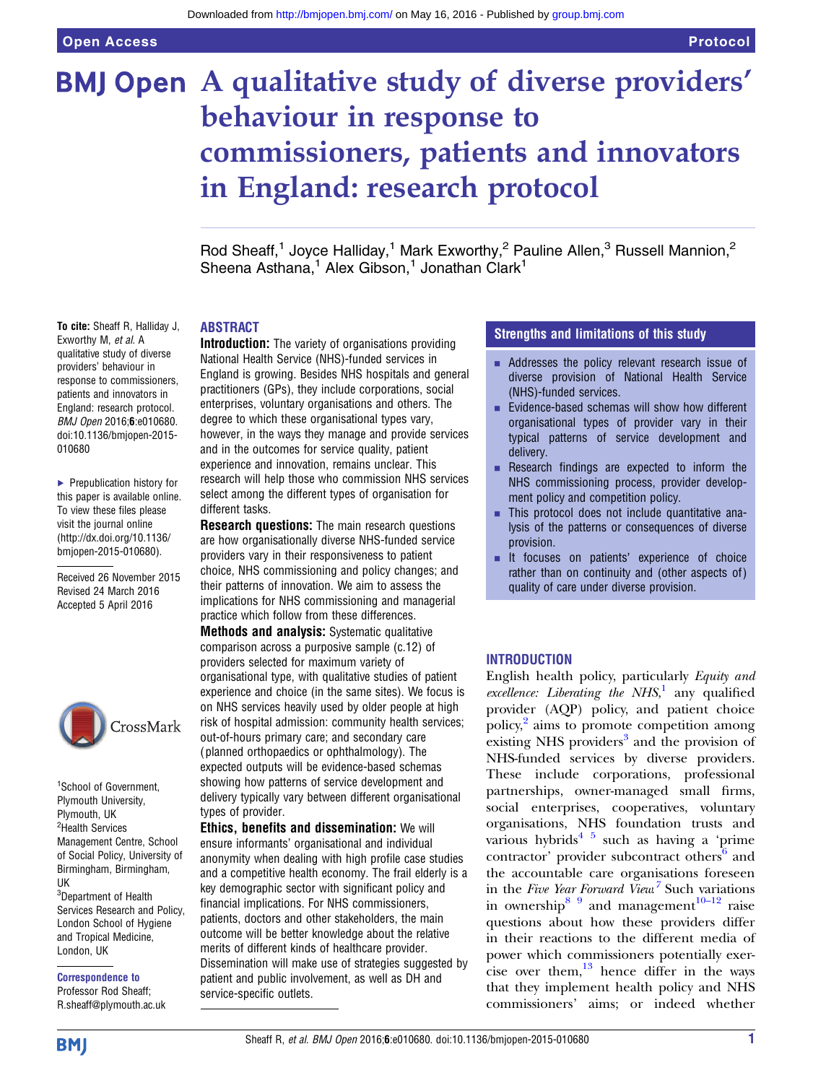## **BMJ Open** A qualitative study of diverse providers' behaviour in response to commissioners, patients and innovators in England: research protocol

Rod Sheaff,<sup>1</sup> Joyce Halliday,<sup>1</sup> Mark Exworthy,<sup>2</sup> Pauline Allen,<sup>3</sup> Russell Mannion,<sup>2</sup> Sheena Asthana,<sup>1</sup> Alex Gibson,<sup>1</sup> Jonathan Clark<sup>1</sup>

### ABSTRACT

Introduction: The variety of organisations providing National Health Service (NHS)-funded services in England is growing. Besides NHS hospitals and general practitioners (GPs), they include corporations, social enterprises, voluntary organisations and others. The degree to which these organisational types vary, however, in the ways they manage and provide services and in the outcomes for service quality, patient experience and innovation, remains unclear. This research will help those who commission NHS services select among the different types of organisation for different tasks.

Research questions: The main research questions are how organisationally diverse NHS-funded service providers vary in their responsiveness to patient choice, NHS commissioning and policy changes; and their patterns of innovation. We aim to assess the implications for NHS commissioning and managerial practice which follow from these differences.

**Methods and analysis:** Systematic qualitative comparison across a purposive sample (c.12) of providers selected for maximum variety of organisational type, with qualitative studies of patient experience and choice (in the same sites). We focus is on NHS services heavily used by older people at high risk of hospital admission: community health services; out-of-hours primary care; and secondary care ( planned orthopaedics or ophthalmology). The expected outputs will be evidence-based schemas showing how patterns of service development and delivery typically vary between different organisational types of provider.

Ethics, benefits and dissemination: We will ensure informants' organisational and individual anonymity when dealing with high profile case studies and a competitive health economy. The frail elderly is a key demographic sector with significant policy and financial implications. For NHS commissioners, patients, doctors and other stakeholders, the main outcome will be better knowledge about the relative merits of different kinds of healthcare provider. Dissemination will make use of strategies suggested by patient and public involvement, as well as DH and service-specific outlets.

## Strengths and limitations of this study

- Addresses the policy relevant research issue of diverse provision of National Health Service (NHS)-funded services.
- $\blacksquare$  Evidence-based schemas will show how different organisational types of provider vary in their typical patterns of service development and delivery.
- **EXECUTE:** Research findings are expected to inform the NHS commissioning process, provider development policy and competition policy.
- This protocol does not include quantitative analysis of the patterns or consequences of diverse provision.
- It focuses on patients' experience of choice rather than on continuity and (other aspects of ) quality of care under diverse provision.

## INTRODUCTION

English health policy, particularly Equity and excellence: Liberating the NHS,<sup>[1](#page-5-0)</sup> any qualified provider (AQP) policy, and patient choice policy,<sup>2</sup> aims to promote competition among existing NHS providers<sup>[3](#page-5-0)</sup> and the provision of NHS-funded services by diverse providers. These include corporations, professional partnerships, owner-managed small firms, social enterprises, cooperatives, voluntary organisations, NHS foundation trusts and various hybrids<sup> $4\frac{5}{2}$  $4\frac{5}{2}$ </sup> such as having a 'prime' contractor' provider subcontract others<sup>[6](#page-6-0)</sup> and the accountable care organisations foreseen in the Five Year Forward View.<sup>[7](#page-6-0)</sup> Such variations in ownership<sup>8</sup> 9 and management<sup>10–[12](#page-6-0)</sup> raise questions about how these providers differ in their reactions to the different media of power which commissioners potentially exercise over them, $^{13}$  $^{13}$  $^{13}$  hence differ in the ways that they implement health policy and NHS commissioners' aims; or indeed whether

To cite: Sheaff R, Halliday J, Exworthy M, et al. A qualitative study of diverse providers' behaviour in response to commissioners, patients and innovators in England: research protocol. BMJ Open 2016;6:e010680. doi:10.1136/bmjopen-2015- 010680

▶ Prepublication history for this paper is available online. To view these files please visit the journal online [\(http://dx.doi.org/10.1136/](http://dx.doi.org/10.1136/bmjopen-2015-010680) [bmjopen-2015-010680](http://dx.doi.org/10.1136/bmjopen-2015-010680)).

Received 26 November 2015 Revised 24 March 2016 Accepted 5 April 2016



1 School of Government, Plymouth University, Plymouth, UK <sup>2</sup>Health Services Management Centre, School of Social Policy, University of Birmingham, Birmingham, UK 3 Department of Health Services Research and Policy, London School of Hygiene and Tropical Medicine, London, UK

Correspondence to Professor Rod Sheaff; R.sheaff@plymouth.ac.uk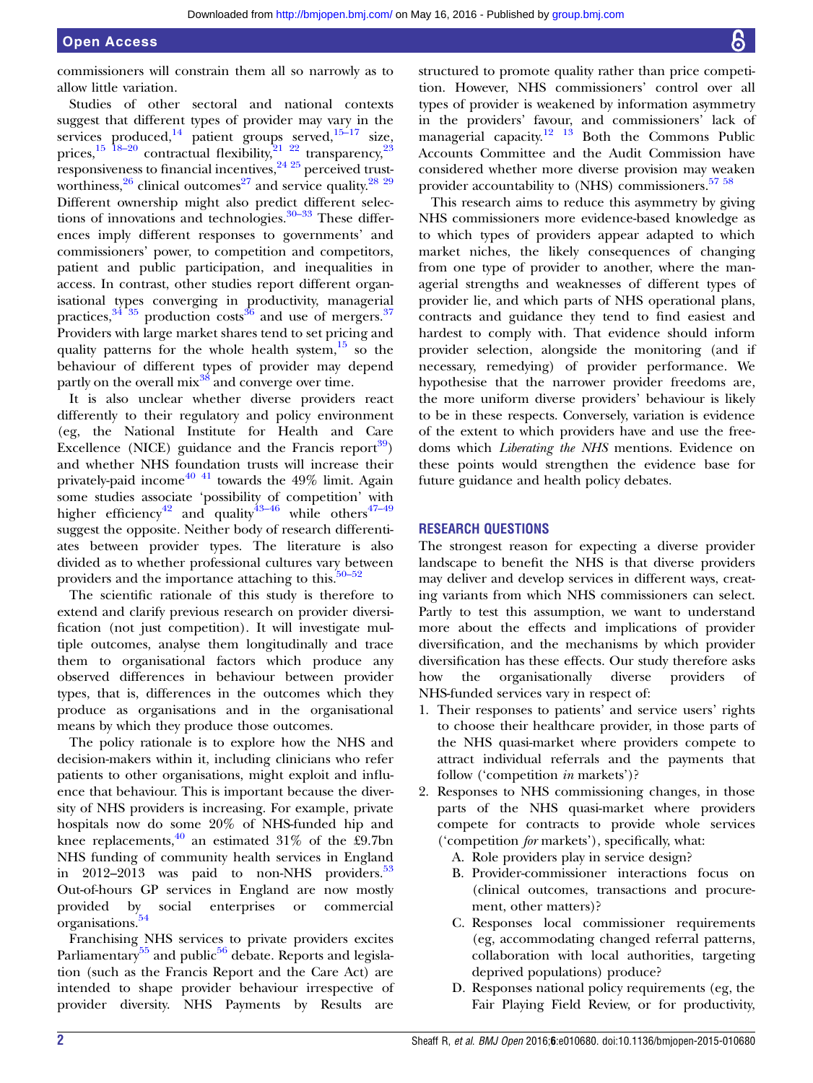commissioners will constrain them all so narrowly as to allow little variation.

Studies of other sectoral and national contexts suggest that different types of provider may vary in the services produced, $14$  patient groups served, $15-17$  $15-17$  size, prices, $^{15}$   $^{18-20}$  contractual flexibility, $^{21}$   $^{22}$  transparency, $^{23}$  $^{23}$  $^{23}$ responsiveness to financial incentives, $^{\rm 24\ 25}$  perceived trustworthiness,  $26$  clinical outcomes<sup>27</sup> and service quality.  $28\frac{29}{29}$ Different ownership might also predict different selections of innovations and technologies. $30-33$  $30-33$  These differences imply different responses to governments' and commissioners' power, to competition and competitors, patient and public participation, and inequalities in access. In contrast, other studies report different organisational types converging in productivity, managerial practices,  $34^{4.35}$  production costs<sup>[36](#page-6-0)</sup> and use of mergers.<sup>[37](#page-6-0)</sup> Providers with large market shares tend to set pricing and quality patterns for the whole health system, $15$  so the behaviour of different types of provider may depend partly on the overall  $mix^{38}$  $mix^{38}$  $mix^{38}$  and converge over time.

It is also unclear whether diverse providers react differently to their regulatory and policy environment (eg, the National Institute for Health and Care Excellence (NICE) guidance and the Francis report<sup>[39](#page-6-0)</sup>) and whether NHS foundation trusts will increase their privately-paid income<sup>[40 41](#page-6-0)</sup> towards the 49% limit. Again some studies associate 'possibility of competition' with higher efficiency<sup>[42](#page-6-0)</sup> and quality<sup>[43](#page-6-0)–46</sup> while others<sup>[47](#page-6-0)–49</sup> suggest the opposite. Neither body of research differentiates between provider types. The literature is also divided as to whether professional cultures vary between providers and the importance attaching to this. $50-52$  $50-52$ 

The scientific rationale of this study is therefore to extend and clarify previous research on provider diversification (not just competition). It will investigate multiple outcomes, analyse them longitudinally and trace them to organisational factors which produce any observed differences in behaviour between provider types, that is, differences in the outcomes which they produce as organisations and in the organisational means by which they produce those outcomes.

The policy rationale is to explore how the NHS and decision-makers within it, including clinicians who refer patients to other organisations, might exploit and influence that behaviour. This is important because the diversity of NHS providers is increasing. For example, private hospitals now do some 20% of NHS-funded hip and knee replacements,<sup>[40](#page-6-0)</sup> an estimated 31% of the  $\epsilon$ 9.7bn NHS funding of community health services in England in 2012–2013 was paid to non-NHS providers.<sup>[53](#page-6-0)</sup> Out-of-hours GP services in England are now mostly provided by social enterprises or commercial organisations.<sup>[54](#page-6-0)</sup>

Franchising NHS services to private providers excites Parliamentary<sup>[55](#page-6-0)</sup> and public<sup>[56](#page-6-0)</sup> debate. Reports and legislation (such as the Francis Report and the Care Act) are intended to shape provider behaviour irrespective of provider diversity. NHS Payments by Results are structured to promote quality rather than price competition. However, NHS commissioners' control over all types of provider is weakened by information asymmetry in the providers' favour, and commissioners' lack of managerial capacity.<sup>12</sup> <sup>13</sup> Both the Commons Public Accounts Committee and the Audit Commission have considered whether more diverse provision may weaken provider accountability to (NHS) commissioners.<sup>57</sup> <sup>58</sup>

This research aims to reduce this asymmetry by giving NHS commissioners more evidence-based knowledge as to which types of providers appear adapted to which market niches, the likely consequences of changing from one type of provider to another, where the managerial strengths and weaknesses of different types of provider lie, and which parts of NHS operational plans, contracts and guidance they tend to find easiest and hardest to comply with. That evidence should inform provider selection, alongside the monitoring (and if necessary, remedying) of provider performance. We hypothesise that the narrower provider freedoms are, the more uniform diverse providers' behaviour is likely to be in these respects. Conversely, variation is evidence of the extent to which providers have and use the freedoms which Liberating the NHS mentions. Evidence on these points would strengthen the evidence base for future guidance and health policy debates.

## RESEARCH QUESTIONS

The strongest reason for expecting a diverse provider landscape to benefit the NHS is that diverse providers may deliver and develop services in different ways, creating variants from which NHS commissioners can select. Partly to test this assumption, we want to understand more about the effects and implications of provider diversification, and the mechanisms by which provider diversification has these effects. Our study therefore asks how the organisationally diverse providers NHS-funded services vary in respect of:

- 1. Their responses to patients' and service users' rights to choose their healthcare provider, in those parts of the NHS quasi-market where providers compete to attract individual referrals and the payments that follow ('competition in markets')?
- 2. Responses to NHS commissioning changes, in those parts of the NHS quasi-market where providers compete for contracts to provide whole services ('competition for markets'), specifically, what:
	- A. Role providers play in service design?
	- B. Provider-commissioner interactions focus on (clinical outcomes, transactions and procurement, other matters)?
	- C. Responses local commissioner requirements (eg, accommodating changed referral patterns, collaboration with local authorities, targeting deprived populations) produce?
	- D. Responses national policy requirements (eg, the Fair Playing Field Review, or for productivity,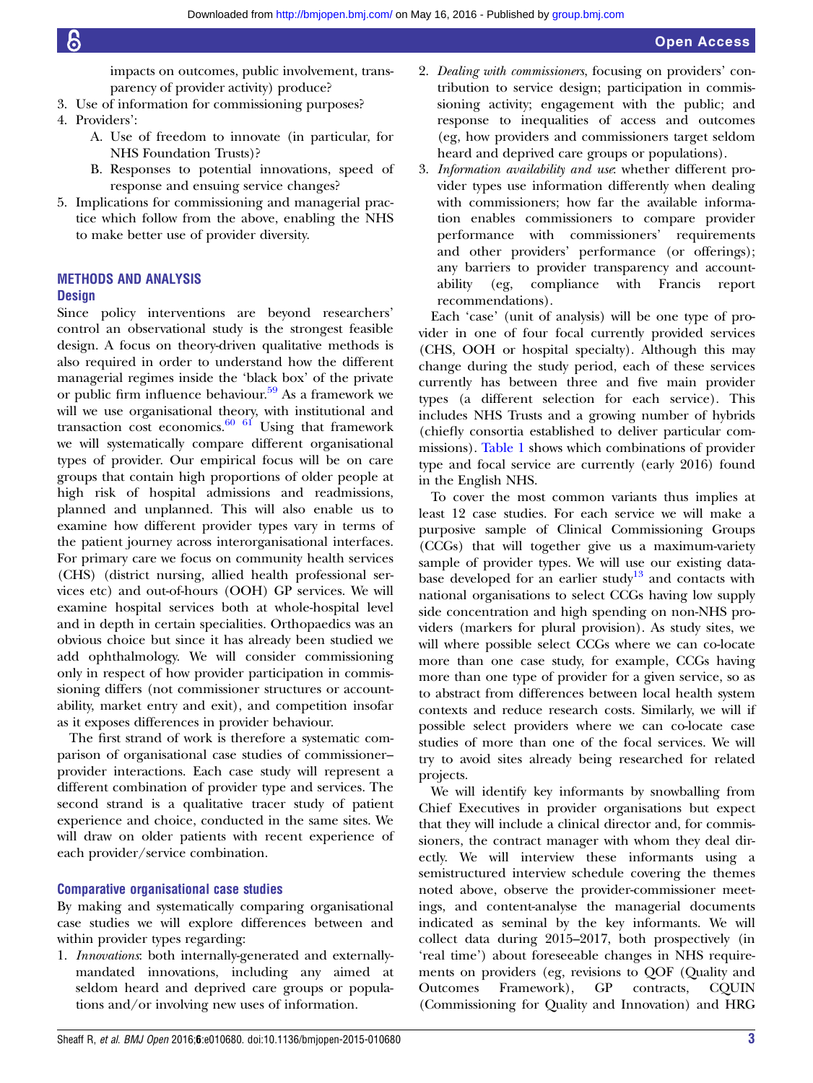impacts on outcomes, public involvement, transparency of provider activity) produce?

- 3. Use of information for commissioning purposes?
- 4. Providers':
	- A. Use of freedom to innovate (in particular, for NHS Foundation Trusts)?
	- B. Responses to potential innovations, speed of response and ensuing service changes?
- 5. Implications for commissioning and managerial practice which follow from the above, enabling the NHS to make better use of provider diversity.

## METHODS AND ANALYSIS

## **Design**

Since policy interventions are beyond researchers' control an observational study is the strongest feasible design. A focus on theory-driven qualitative methods is also required in order to understand how the different managerial regimes inside the 'black box' of the private or public firm influence behaviour.<sup>[59](#page-6-0)</sup> As a framework we will we use organisational theory, with institutional and transaction cost economics.<sup>[60 61](#page-6-0)</sup> Using that framework we will systematically compare different organisational types of provider. Our empirical focus will be on care groups that contain high proportions of older people at high risk of hospital admissions and readmissions, planned and unplanned. This will also enable us to examine how different provider types vary in terms of the patient journey across interorganisational interfaces. For primary care we focus on community health services (CHS) (district nursing, allied health professional services etc) and out-of-hours (OOH) GP services. We will examine hospital services both at whole-hospital level and in depth in certain specialities. Orthopaedics was an obvious choice but since it has already been studied we add ophthalmology. We will consider commissioning only in respect of how provider participation in commissioning differs (not commissioner structures or accountability, market entry and exit), and competition insofar as it exposes differences in provider behaviour.

The first strand of work is therefore a systematic comparison of organisational case studies of commissioner– provider interactions. Each case study will represent a different combination of provider type and services. The second strand is a qualitative tracer study of patient experience and choice, conducted in the same sites. We will draw on older patients with recent experience of each provider/service combination.

## Comparative organisational case studies

By making and systematically comparing organisational case studies we will explore differences between and within provider types regarding:

1. Innovations: both internally-generated and externallymandated innovations, including any aimed at seldom heard and deprived care groups or populations and/or involving new uses of information.

- 2. Dealing with commissioners, focusing on providers' contribution to service design; participation in commissioning activity; engagement with the public; and response to inequalities of access and outcomes (eg, how providers and commissioners target seldom heard and deprived care groups or populations).
- 3. Information availability and use: whether different provider types use information differently when dealing with commissioners; how far the available information enables commissioners to compare provider performance with commissioners' requirements and other providers' performance (or offerings); any barriers to provider transparency and accountability (eg, compliance with Francis report recommendations).

Each 'case' (unit of analysis) will be one type of provider in one of four focal currently provided services (CHS, OOH or hospital specialty). Although this may change during the study period, each of these services currently has between three and five main provider types (a different selection for each service). This includes NHS Trusts and a growing number of hybrids (chiefly consortia established to deliver particular commissions). [Table 1](#page-4-0) shows which combinations of provider type and focal service are currently (early 2016) found in the English NHS.

To cover the most common variants thus implies at least 12 case studies. For each service we will make a purposive sample of Clinical Commissioning Groups (CCGs) that will together give us a maximum-variety sample of provider types. We will use our existing data-base developed for an earlier study<sup>[13](#page-6-0)</sup> and contacts with national organisations to select CCGs having low supply side concentration and high spending on non-NHS providers (markers for plural provision). As study sites, we will where possible select CCGs where we can co-locate more than one case study, for example, CCGs having more than one type of provider for a given service, so as to abstract from differences between local health system contexts and reduce research costs. Similarly, we will if possible select providers where we can co-locate case studies of more than one of the focal services. We will try to avoid sites already being researched for related projects.

We will identify key informants by snowballing from Chief Executives in provider organisations but expect that they will include a clinical director and, for commissioners, the contract manager with whom they deal directly. We will interview these informants using a semistructured interview schedule covering the themes noted above, observe the provider-commissioner meetings, and content-analyse the managerial documents indicated as seminal by the key informants. We will collect data during 2015–2017, both prospectively (in 'real time') about foreseeable changes in NHS requirements on providers (eg, revisions to QOF (Quality and Outcomes Framework), GP contracts, CQUIN (Commissioning for Quality and Innovation) and HRG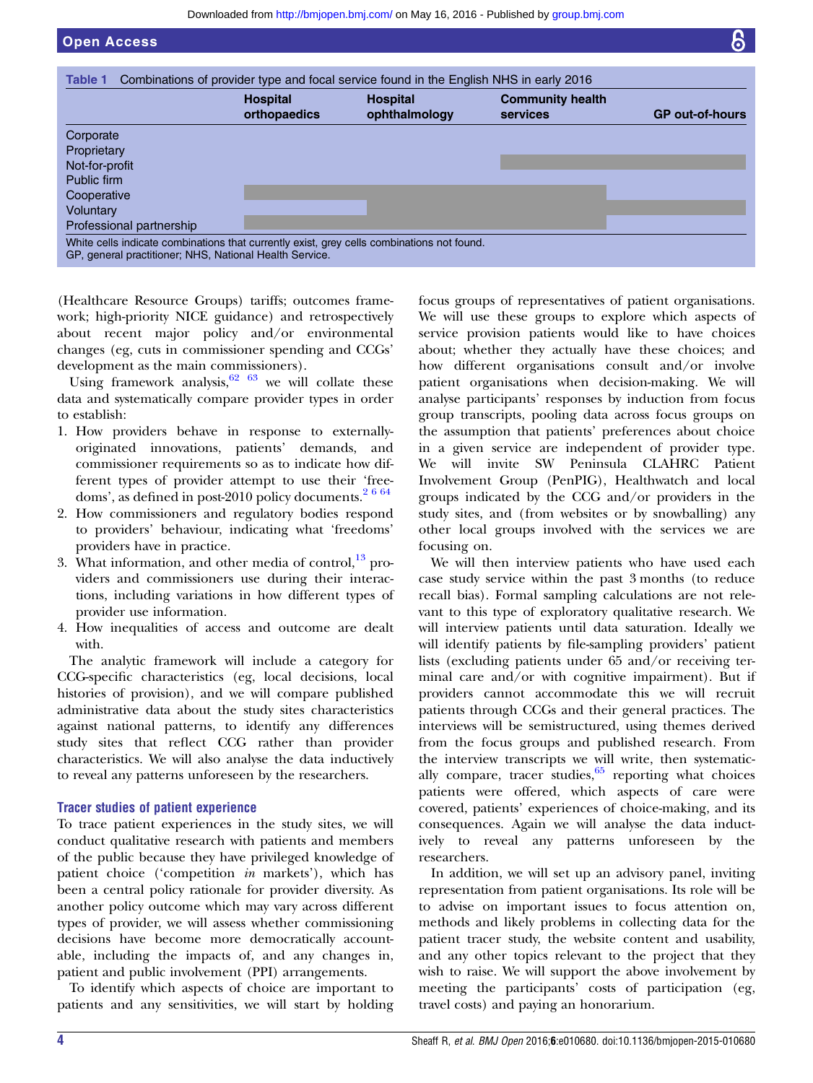<span id="page-4-0"></span>Open Access

| Combinations of provider type and focal service found in the English NHS in early 2016<br>Table 1                                                     |                                 |                                  |                                     |                        |
|-------------------------------------------------------------------------------------------------------------------------------------------------------|---------------------------------|----------------------------------|-------------------------------------|------------------------|
|                                                                                                                                                       | <b>Hospital</b><br>orthopaedics | <b>Hospital</b><br>ophthalmology | <b>Community health</b><br>services | <b>GP</b> out-of-hours |
| Corporate                                                                                                                                             |                                 |                                  |                                     |                        |
| Proprietary                                                                                                                                           |                                 |                                  |                                     |                        |
| Not-for-profit                                                                                                                                        |                                 |                                  |                                     |                        |
| Public firm                                                                                                                                           |                                 |                                  |                                     |                        |
| Cooperative                                                                                                                                           |                                 |                                  |                                     |                        |
| Voluntary                                                                                                                                             |                                 |                                  |                                     |                        |
| Professional partnership                                                                                                                              |                                 |                                  |                                     |                        |
| White cells indicate combinations that currently exist, grey cells combinations not found.<br>GP, general practitioner; NHS, National Health Service. |                                 |                                  |                                     |                        |

(Healthcare Resource Groups) tariffs; outcomes framework; high-priority NICE guidance) and retrospectively about recent major policy and/or environmental changes (eg, cuts in commissioner spending and CCGs' development as the main commissioners).

Using framework analysis,  $62 \times 63$  we will collate these data and systematically compare provider types in order to establish:

- 1. How providers behave in response to externallyoriginated innovations, patients' demands, and commissioner requirements so as to indicate how different types of provider attempt to use their 'free-doms', as defined in post-[2](#page-5-0)010 policy documents.<sup>2664</sup>
- 2. How commissioners and regulatory bodies respond to providers' behaviour, indicating what 'freedoms' providers have in practice.
- 3. What information, and other media of control,<sup>[13](#page-6-0)</sup> providers and commissioners use during their interactions, including variations in how different types of provider use information.
- 4. How inequalities of access and outcome are dealt with.

The analytic framework will include a category for CCG-specific characteristics (eg, local decisions, local histories of provision), and we will compare published administrative data about the study sites characteristics against national patterns, to identify any differences study sites that reflect CCG rather than provider characteristics. We will also analyse the data inductively to reveal any patterns unforeseen by the researchers.

## Tracer studies of patient experience

To trace patient experiences in the study sites, we will conduct qualitative research with patients and members of the public because they have privileged knowledge of patient choice ('competition in markets'), which has been a central policy rationale for provider diversity. As another policy outcome which may vary across different types of provider, we will assess whether commissioning decisions have become more democratically accountable, including the impacts of, and any changes in, patient and public involvement (PPI) arrangements.

To identify which aspects of choice are important to patients and any sensitivities, we will start by holding

focus groups of representatives of patient organisations. We will use these groups to explore which aspects of service provision patients would like to have choices about; whether they actually have these choices; and how different organisations consult and/or involve patient organisations when decision-making. We will analyse participants' responses by induction from focus group transcripts, pooling data across focus groups on the assumption that patients' preferences about choice in a given service are independent of provider type. We will invite SW Peninsula CLAHRC Patient Involvement Group (PenPIG), Healthwatch and local groups indicated by the CCG and/or providers in the study sites, and (from websites or by snowballing) any other local groups involved with the services we are focusing on.

We will then interview patients who have used each case study service within the past 3 months (to reduce recall bias). Formal sampling calculations are not relevant to this type of exploratory qualitative research. We will interview patients until data saturation. Ideally we will identify patients by file-sampling providers' patient lists (excluding patients under 65 and/or receiving terminal care and/or with cognitive impairment). But if providers cannot accommodate this we will recruit patients through CCGs and their general practices. The interviews will be semistructured, using themes derived from the focus groups and published research. From the interview transcripts we will write, then systematically compare, tracer studies, $65$  reporting what choices patients were offered, which aspects of care were covered, patients' experiences of choice-making, and its consequences. Again we will analyse the data inductively to reveal any patterns unforeseen by the researchers.

In addition, we will set up an advisory panel, inviting representation from patient organisations. Its role will be to advise on important issues to focus attention on, methods and likely problems in collecting data for the patient tracer study, the website content and usability, and any other topics relevant to the project that they wish to raise. We will support the above involvement by meeting the participants' costs of participation (eg, travel costs) and paying an honorarium.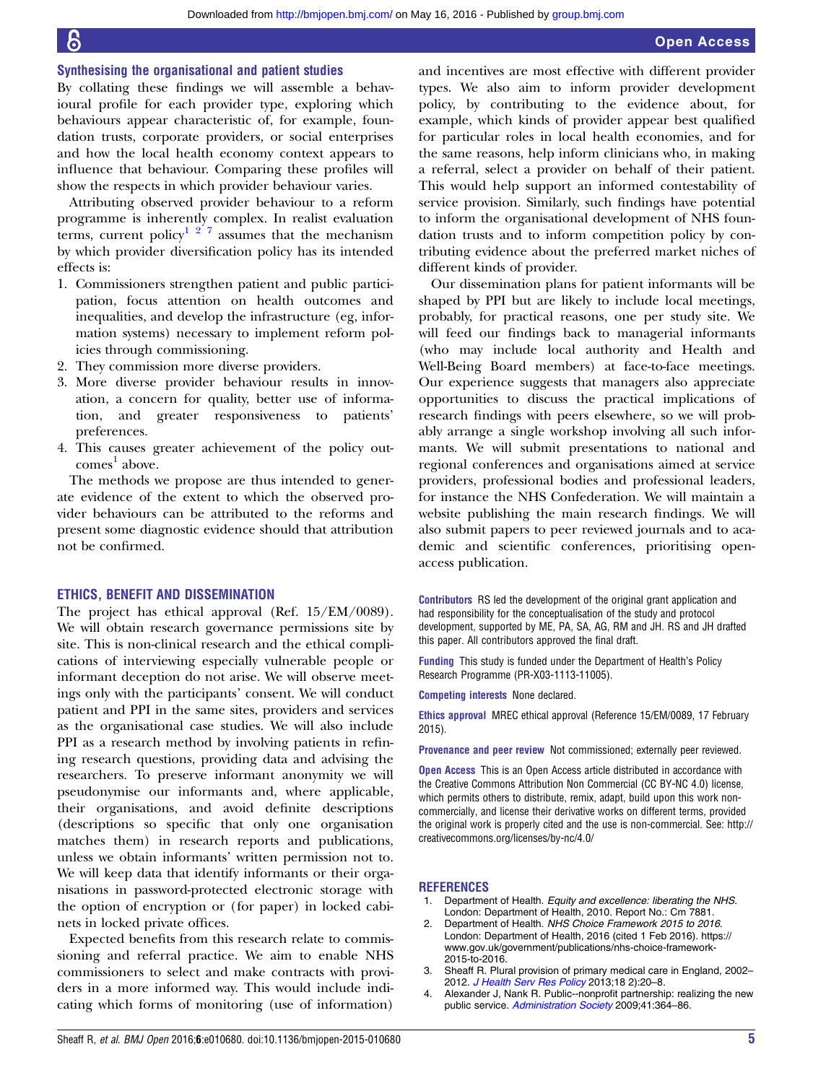## <span id="page-5-0"></span>Synthesising the organisational and patient studies

By collating these findings we will assemble a behavioural profile for each provider type, exploring which behaviours appear characteristic of, for example, foundation trusts, corporate providers, or social enterprises and how the local health economy context appears to influence that behaviour. Comparing these profiles will show the respects in which provider behaviour varies.

Attributing observed provider behaviour to a reform programme is inherently complex. In realist evaluation terms, current policy<sup>1 2'[7](#page-6-0)</sup> assumes that the mechanism by which provider diversification policy has its intended effects is:

- 1. Commissioners strengthen patient and public participation, focus attention on health outcomes and inequalities, and develop the infrastructure (eg, information systems) necessary to implement reform policies through commissioning.
- 2. They commission more diverse providers.
- 3. More diverse provider behaviour results in innovation, a concern for quality, better use of information, and greater responsiveness to patients' preferences.
- 4. This causes greater achievement of the policy outcomes <sup>1</sup> above.

The methods we propose are thus intended to generate evidence of the extent to which the observed provider behaviours can be attributed to the reforms and present some diagnostic evidence should that attribution not be confirmed.

#### ETHICS, BENEFIT AND DISSEMINATION

The project has ethical approval (Ref. 15/EM/0089). We will obtain research governance permissions site by site. This is non-clinical research and the ethical complications of interviewing especially vulnerable people or informant deception do not arise. We will observe meetings only with the participants' consent. We will conduct patient and PPI in the same sites, providers and services as the organisational case studies. We will also include PPI as a research method by involving patients in refining research questions, providing data and advising the researchers. To preserve informant anonymity we will pseudonymise our informants and, where applicable, their organisations, and avoid definite descriptions (descriptions so specific that only one organisation matches them) in research reports and publications, unless we obtain informants' written permission not to. We will keep data that identify informants or their organisations in password-protected electronic storage with the option of encryption or (for paper) in locked cabinets in locked private offices.

Expected benefits from this research relate to commissioning and referral practice. We aim to enable NHS commissioners to select and make contracts with providers in a more informed way. This would include indicating which forms of monitoring (use of information)

and incentives are most effective with different provider types. We also aim to inform provider development policy, by contributing to the evidence about, for example, which kinds of provider appear best qualified for particular roles in local health economies, and for the same reasons, help inform clinicians who, in making a referral, select a provider on behalf of their patient. This would help support an informed contestability of service provision. Similarly, such findings have potential to inform the organisational development of NHS foundation trusts and to inform competition policy by contributing evidence about the preferred market niches of different kinds of provider.

Our dissemination plans for patient informants will be shaped by PPI but are likely to include local meetings, probably, for practical reasons, one per study site. We will feed our findings back to managerial informants (who may include local authority and Health and Well-Being Board members) at face-to-face meetings. Our experience suggests that managers also appreciate opportunities to discuss the practical implications of research findings with peers elsewhere, so we will probably arrange a single workshop involving all such informants. We will submit presentations to national and regional conferences and organisations aimed at service providers, professional bodies and professional leaders, for instance the NHS Confederation. We will maintain a website publishing the main research findings. We will also submit papers to peer reviewed journals and to academic and scientific conferences, prioritising openaccess publication.

Contributors RS led the development of the original grant application and had responsibility for the conceptualisation of the study and protocol development, supported by ME, PA, SA, AG, RM and JH. RS and JH drafted this paper. All contributors approved the final draft.

Funding This study is funded under the Department of Health's Policy Research Programme (PR-X03-1113-11005).

Competing interests None declared.

Ethics approval MREC ethical approval (Reference 15/EM/0089, 17 February 2015).

Provenance and peer review Not commissioned; externally peer reviewed.

**Open Access** This is an Open Access article distributed in accordance with the Creative Commons Attribution Non Commercial (CC BY-NC 4.0) license, which permits others to distribute, remix, adapt, build upon this work noncommercially, and license their derivative works on different terms, provided the original work is properly cited and the use is non-commercial. See: [http://](http://creativecommons.org/licenses/by-nc/4.0/) [creativecommons.org/licenses/by-nc/4.0/](http://creativecommons.org/licenses/by-nc/4.0/)

#### **REFERENCES**

- Department of Health. Equity and excellence: liberating the NHS. London: Department of Health, 2010. Report No.: Cm 7881.
- 2. Department of Health. NHS Choice Framework 2015 to 2016. London: Department of Health, 2016 (cited 1 Feb 2016). [https://](https://www.gov.uk/government/publications/nhs-choice-framework-2015-to-2016) [www.gov.uk/government/publications/nhs-choice-framework-](https://www.gov.uk/government/publications/nhs-choice-framework-2015-to-2016)[2015-to-2016.](https://www.gov.uk/government/publications/nhs-choice-framework-2015-to-2016)
- 3. Sheaff R. Plural provision of primary medical care in England, 2002– 2012. [J Health Serv Res Policy](http://dx.doi.org/10.1177/1355819613489544) 2013;18 2):20-8.
- 4. Alexander J, Nank R. Public--nonprofit partnership: realizing the new public service. [Administration Society](http://dx.doi.org/10.1177/0095399709332296) 2009;41:364-86.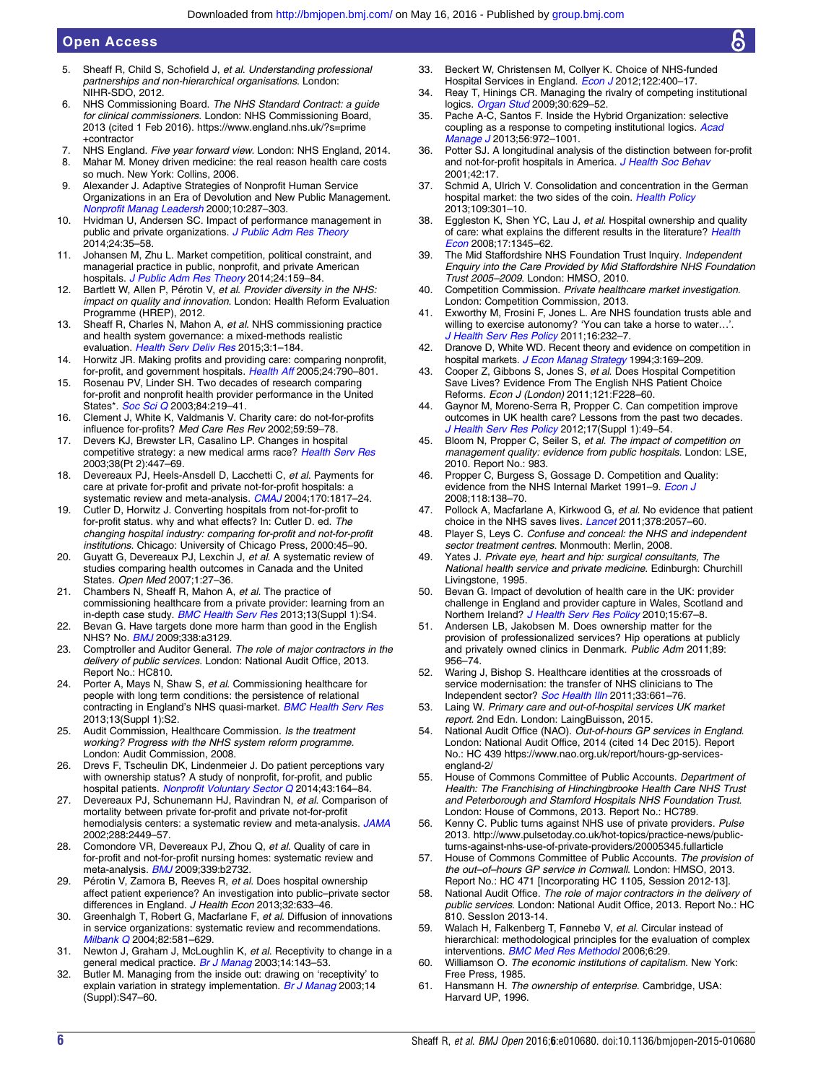- <span id="page-6-0"></span>5. Sheaff R, Child S, Schofield J, et al. Understanding professional partnerships and non-hierarchical organisations. London: NIHR-SDO, 2012.
- 6. NHS Commissioning Board. The NHS Standard Contract: a guide for clinical commissioners. London: NHS Commissioning Board, 2013 (cited 1 Feb 2016). [https://www.england.nhs.uk/?s=prime](https://www.england.nhs.uk/?s=prime+contractor) [+contractor](https://www.england.nhs.uk/?s=prime+contractor)
- 7. NHS England. *Five year forward view*. London: NHS England, 2014.<br>8. Mahar M. Money driven medicine: the real reason health care costs.
- Mahar M. Money driven medicine: the real reason health care costs so much. New York: Collins, 2006.
- 9. Alexander J. Adaptive Strategies of Nonprofit Human Service Organizations in an Era of Devolution and New Public Management. [Nonprofit Manag Leadersh](http://dx.doi.org/10.1002/nml.10305) 2000;10:287–303.
- 10. Hvidman U, Andersen SC. Impact of performance management in public and private organizations. [J Public Adm Res Theory](http://dx.doi.org/10.1093/jopart/mut019) 2014;24:35–58.
- 11. Johansen M, Zhu L. Market competition, political constraint, and managerial practice in public, nonprofit, and private American hospitals. [J Public Adm Res Theory](http://dx.doi.org/10.1093/jopart/mut029) 2014;24:159-84.
- 12. Bartlett W, Allen P, Pérotin V, et al. Provider diversity in the NHS: impact on quality and innovation. London: Health Reform Evaluation Programme (HREP), 2012.
- 13. Sheaff R, Charles N, Mahon A, et al. NHS commissioning practice and health system governance: a mixed-methods realistic evaluation. [Health Serv Deliv Res](http://dx.doi.org/10.3310/hsdr03100) 2015;3:1-184.
- 14. Horwitz JR. Making profits and providing care: comparing nonprofit, for-profit, and government hospitals. [Health Aff](http://dx.doi.org/10.1377/hlthaff.24.3.790) 2005;24:790–801.
- 15. Rosenau PV, Linder SH. Two decades of research comparing for-profit and nonprofit health provider performance in the United States\*. [Soc Sci Q](http://dx.doi.org/10.1111/1540-6237.8402001) 2003;84:219–41.
- 16. Clement J, White K, Valdmanis V. Charity care: do not-for-profits influence for-profits? Med Care Res Rev 2002;59:59–78.
- 17. Devers KJ, Brewster LR, Casalino LP. Changes in hospital competitive strategy: a new medical arms race? [Health Serv Res](http://dx.doi.org/10.1111/1475-6773.00124) 2003;38(Pt 2):447–69.
- 18. Devereaux PJ, Heels-Ansdell D, Lacchetti C, et al. Payments for care at private for-profit and private not-for-profit hospitals: a systematic review and meta-analysis. [CMAJ](http://dx.doi.org/10.1503/cmaj.1040722) 2004;170:1817-24.
- 19. Cutler D, Horwitz J. Converting hospitals from not-for-profit to for-profit status. why and what effects? In: Cutler D. ed. The changing hospital industry: comparing for-profit and not-for-profit institutions. Chicago: University of Chicago Press, 2000:45–90.
- 20. Guyatt G, Devereaux PJ, Lexchin J, et al. A systematic review of studies comparing health outcomes in Canada and the United States. Open Med 2007;1:27–36.
- 21. Chambers N, Sheaff R, Mahon A, et al. The practice of commissioning healthcare from a private provider: learning from an in-depth case study. BMC [Health Serv Res](http://dx.doi.org/10.1186/1472-6963-13-S1-S4) 2013;13(Suppl 1):S4.
- 22. Bevan G. Have targets done more harm than good in the English NHS? No. **[BMJ](http://dx.doi.org/10.1136/bmj.a3129)** 2009;338:a3129.
- 23. Comptroller and Auditor General. The role of major contractors in the delivery of public services. London: National Audit Office, 2013. Report No.: HC810.
- 24. Porter A, Mays N, Shaw S, et al. Commissioning healthcare for people with long term conditions: the persistence of relational contracting in England's NHS quasi-market. [BMC Health Serv Res](http://dx.doi.org/10.1186/1472-6963-13-S1-S2) 2013;13(Suppl 1):S2.
- 25. Audit Commission, Healthcare Commission. Is the treatment working? Progress with the NHS system reform programme. London: Audit Commission, 2008.
- 26. Drevs F, Tscheulin DK, Lindenmeier J. Do patient perceptions vary with ownership status? A study of nonprofit, for-profit, and public hospital patients. [Nonprofit Voluntary Sector Q](http://dx.doi.org/10.1177/0899764012458179) 2014;43:164-84.
- 27. Devereaux PJ, Schunemann HJ, Ravindran N, et al. Comparison of mortality between private for-profit and private not-for-profit hemodialysis centers: a systematic review and meta-analysis. [JAMA](http://dx.doi.org/10.1001/jama.288.19.2449) 2002;288:2449–57.
- 28. Comondore VR, Devereaux PJ, Zhou Q, et al. Quality of care in for-profit and not-for-profit nursing homes: systematic review and meta-analysis. [BMJ](http://dx.doi.org/10.1136/bmj.b2732) 2009;339:b2732.
- 29. Pérotin V, Zamora B, Reeves R, et al. Does hospital ownership affect patient experience? An investigation into public–private sector differences in England. J Health Econ 2013;32:633–46.
- 30. Greenhalgh T, Robert G, Macfarlane F, et al. Diffusion of innovations in service organizations: systematic review and recommendations. [Milbank Q](http://dx.doi.org/10.1111/j.0887-378X.2004.00325.x) 2004;82:581–629.
- 31. Newton J, Graham J, McLoughlin K, et al. Receptivity to change in a general medical practice. [Br J Manag](http://dx.doi.org/10.1111/1467-8551.00271) 2003;14:143-53.
- 32. Butler M. Managing from the inside out: drawing on 'receptivity' to explain variation in strategy implementation. [Br J Manag](http://dx.doi.org/10.1111/j.1467-8551.2003.00392.x) 2003;14 (Suppl):S47–60.
- 33. Beckert W, Christensen M, Collyer K. Choice of NHS-funded Hospital Services in England. [Econ J](http://dx.doi.org/10.1111/j.1468-0297.2012.02496.x) 2012;122:400-17.
- 34. Reay T, Hinings CR. Managing the rivalry of competing institutional logics. [Organ Stud](http://dx.doi.org/10.1177/0170840609104803) 2009;30:629-52.
- 35. Pache A-C, Santos F. Inside the Hybrid Organization: selective coupling as a response to competing institutional logics. [Acad](http://dx.doi.org/10.5465/amj.2011.0405) [Manage J](http://dx.doi.org/10.5465/amj.2011.0405) 2013;56:972–1001.
- Potter SJ. A longitudinal analysis of the distinction between for-profit and not-for-profit hospitals in America. [J Health Soc Behav](http://dx.doi.org/10.2307/3090225) 2001;42:17.
- 37. Schmid A, Ulrich V. Consolidation and concentration in the German hospital market: the two sides of the coin. [Health Policy](http://dx.doi.org/10.1016/j.healthpol.2012.08.012) 2013;109:301–10.
- 38. Eggleston K, Shen YC, Lau J, et al. Hospital ownership and quality of care: what explains the different results in the literature? [Health](http://dx.doi.org/10.1002/hec.1333) [Econ](http://dx.doi.org/10.1002/hec.1333) 2008;17:1345–62.
- 39. The Mid Staffordshire NHS Foundation Trust Inquiry. Independent Enquiry into the Care Provided by Mid Staffordshire NHS Foundation Trust 2005–2009. London: HMSO, 2010.
- 40. Competition Commission. Private healthcare market investigation. London: Competition Commission, 2013.
- 41. Exworthy M, Frosini F, Jones L. Are NHS foundation trusts able and willing to exercise autonomy? 'You can take a horse to water…'. [J Health Serv Res Policy](http://dx.doi.org/10.1258/jhsrp.2011.010077) 2011;16:232–7.
- 42. Dranove D, White WD. Recent theory and evidence on competition in hospital markets. [J Econ Manag Strategy](http://dx.doi.org/10.1111/j.1430-9134.1994.00169.x) 1994;3:169-209.
- 43. Cooper Z, Gibbons S, Jones S, et al. Does Hospital Competition Save Lives? Evidence From The English NHS Patient Choice Reforms. Econ J (London) 2011;121:F228–60.
- 44. Gaynor M, Moreno-Serra R, Propper C. Can competition improve outcomes in UK health care? Lessons from the past two decades. [J Health Serv Res Policy](http://dx.doi.org/10.1258/jhsrp.2011.011019) 2012;17(Suppl 1):49–54.
- 45. Bloom N, Propper C, Seiler S, et al. The impact of competition on management quality: evidence from public hospitals. London: LSE, 2010. Report No.: 983.
- 46. Propper C, Burgess S, Gossage D. Competition and Quality: evidence from the NHS Internal Market 1991-9. [Econ J](http://dx.doi.org/10.1111/j.1468-0297.2007.02107.x) 2008;118:138–70.
- 47. Pollock A, Macfarlane A, Kirkwood G, et al. No evidence that patient choice in the NHS saves lives. *[Lancet](http://dx.doi.org/10.1016/S0140-6736(11)61553-5)* 2011;378:2057-60.
- 48. Player S, Leys C. Confuse and conceal: the NHS and independent sector treatment centres. Monmouth: Merlin, 2008.
- 49. Yates J. Private eye, heart and hip: surgical consultants, The National health service and private medicine. Edinburgh: Churchill Livingstone, 1995.
- 50. Bevan G. Impact of devolution of health care in the UK: provider challenge in England and provider capture in Wales, Scotland and Northern Ireland? [J Health Serv Res Policy](http://dx.doi.org/10.1258/jhsrp.2010.009174) 2010;15:67-8.
- 51. Andersen LB, Jakobsen M. Does ownership matter for the provision of professionalized services? Hip operations at publicly and privately owned clinics in Denmark. Public Adm 2011;89: 956–74.
- 52. Waring J, Bishop S. Healthcare identities at the crossroads of service modernisation: the transfer of NHS clinicians to The Independent sector? [Soc Health Illn](http://dx.doi.org/10.1111/j.1467-9566.2010.01311.x) 2011;33:661-76.
- 53. Laing W. Primary care and out-of-hospital services UK market report. 2nd Edn. London: LaingBuisson, 2015.
- 54. National Audit Office (NAO). Out-of-hours GP services in England. London: National Audit Office, 2014 (cited 14 Dec 2015). Report No.: HC 439 [https://www.nao.org.uk/report/hours-gp-services](https://www.nao.org.uk/report/hours-gp-services-england-2/)[england-2/](https://www.nao.org.uk/report/hours-gp-services-england-2/)
- 55. House of Commons Committee of Public Accounts. Department of Health: The Franchising of Hinchingbrooke Health Care NHS Trust and Peterborough and Stamford Hospitals NHS Foundation Trust. London: House of Commons, 2013. Report No.: HC789.
- 56. Kenny C. Public turns against NHS use of private providers. Pulse 2013. [http://www.pulsetoday.co.uk/hot-topics/practice-news/public](http://www.pulsetoday.co.uk/hot-topics/practice-news/public-turns-against-nhs-use-of-private-providers/20005345.fullarticle)[turns-against-nhs-use-of-private-providers/20005345.fullarticle](http://www.pulsetoday.co.uk/hot-topics/practice-news/public-turns-against-nhs-use-of-private-providers/20005345.fullarticle)
- 57. House of Commons Committee of Public Accounts. The provision of the out–of–hours GP service in Cornwall. London: HMSO, 2013. Report No.: HC 471 [Incorporating HC 1105, Session 2012-13].
- 58. National Audit Office. The role of major contractors in the delivery of public services. London: National Audit Office, 2013. Report No.: HC 810. SessIon 2013-14.
- 59. Walach H, Falkenberg T, Fønnebø V, et al. Circular instead of hierarchical: methodological principles for the evaluation of complex interventions. **[BMC Med Res Methodol](http://dx.doi.org/10.1186/1471-2288-6-29) 2006;6:29.**
- 60. Williamson O. The economic institutions of capitalism. New York: Free Press, 1985.
- 61. Hansmann H. The ownership of enterprise. Cambridge, USA: Harvard UP, 1996.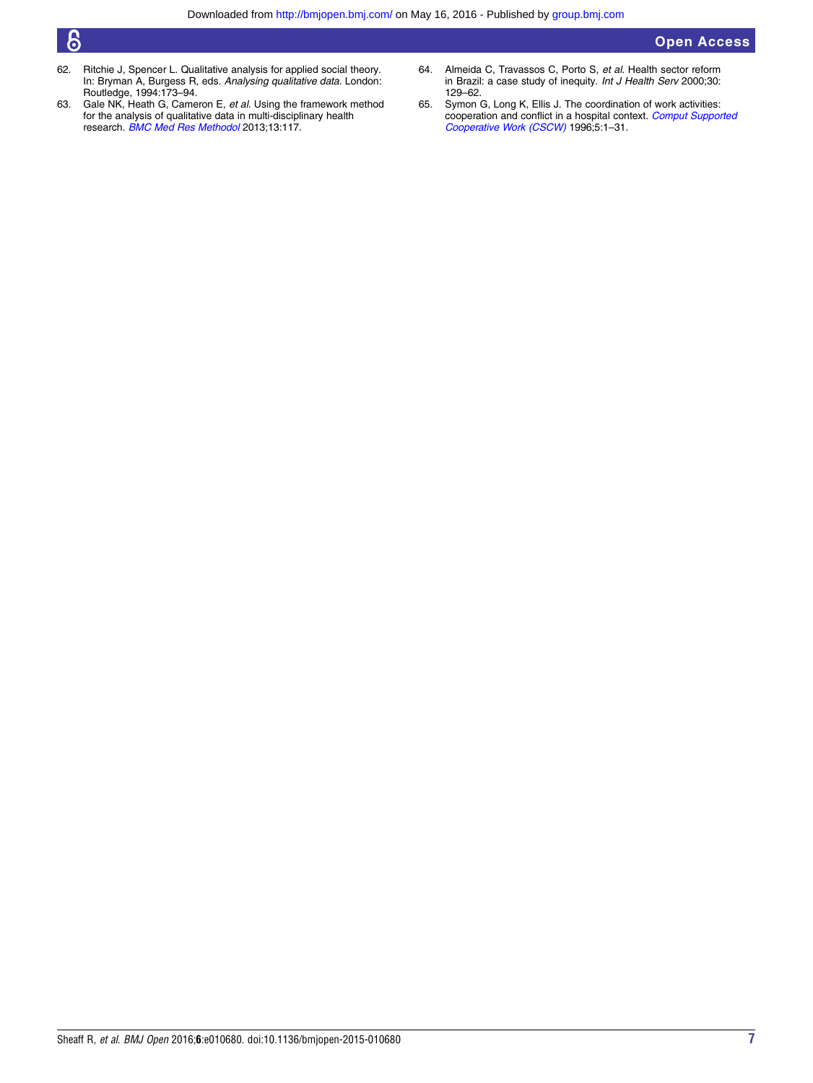## Open Access

62. Ritchie J, Spencer L. Qualitative analysis for applied social theory. In: Bryman A, Burgess R, eds. Analysing qualitative data. London: Routledge, 1994:173–94.

<span id="page-7-0"></span> $\bm{6}$ 

- 63. Gale NK, Heath G, Cameron E, et al. Using the framework method for the analysis of qualitative data in multi-disciplinary health research. [BMC Med Res Methodol](http://dx.doi.org/10.1186/1471-2288-13-117) 2013;13:117.
- 64. Almeida C, Travassos C, Porto S, et al. Health sector reform in Brazil: a case study of inequity. Int J Health Serv 2000;30: 129–62.
- 65. Symon G, Long K, Ellis J. The coordination of work activities: cooperation and conflict in a hospital context. [Comput Supported](http://dx.doi.org/10.1007/BF00141934) [Cooperative Work \(CSCW\)](http://dx.doi.org/10.1007/BF00141934) 1996;5:1–31.